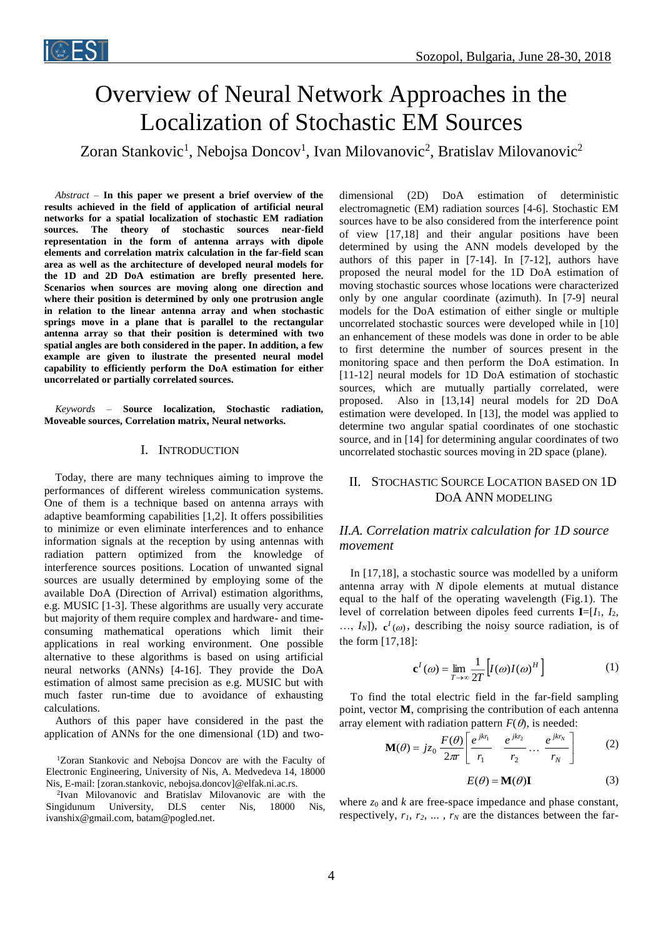# Overview of Neural Network Approaches in the Localization of Stochastic EM Sources

Zoran Stankovic<sup>1</sup>, Nebojsa Doncov<sup>1</sup>, Ivan Milovanovic<sup>2</sup>, Bratislav Milovanovic<sup>2</sup>

*Abstract –* **In this paper we present a brief overview of the results achieved in the field of application of artificial neural networks for a spatial localization of stochastic EM radiation sources. The theory of stochastic sources near-field representation in the form of antenna arrays with dipole elements and correlation matrix calculation in the far-field scan area as well as the architecture of developed neural models for the 1D and 2D DoA estimation are brefly presented here. Scenarios when sources are moving along one direction and where their position is determined by only one protrusion angle in relation to the linear antenna array and when stochastic springs move in a plane that is parallel to the rectangular antenna array so that their position is determined with two spatial angles are both considered in the paper. In addition, a few example are given to ilustrate the presented neural model capability to efficiently perform the DoA estimation for either uncorrelated or partially correlated sources.**

*Keywords –* **Source localization, Stochastic radiation, Moveable sources, Correlation matrix, Neural networks.**

#### I. INTRODUCTION

Today, there are many techniques aiming to improve the performances of different wireless communication systems. One of them is a technique based on antenna arrays with adaptive beamforming capabilities [1,2]. It offers possibilities to minimize or even eliminate interferences and to enhance information signals at the reception by using antennas with radiation pattern optimized from the knowledge of interference sources positions. Location of unwanted signal sources are usually determined by employing some of the available DoA (Direction of Arrival) estimation algorithms, e.g. MUSIC [1-3]. These algorithms are usually very accurate but majority of them require complex and hardware- and timeconsuming mathematical operations which limit their applications in real working environment. One possible alternative to these algorithms is based on using artificial neural networks (ANNs) [4-16]. They provide the DoA estimation of almost same precision as e.g. MUSIC but with much faster run-time due to avoidance of exhausting calculations.

Authors of this paper have considered in the past the application of ANNs for the one dimensional (1D) and two-

<sup>1</sup>Zoran Stankovic and Nebojsa Doncov are with the Faculty of Electronic Engineering, University of Nis, A. Medvedeva 14, 18000 Nis, E-mail: [zoran.stankovic, nebojsa.doncov]@elfak.ni.ac.rs.

2 Ivan Milovanovic and Bratislav Milovanovic are with the Singidunum University, DLS center Nis, 18000 Nis, ivanshix@gmail.com, batam@pogled.net.

dimensional (2D) DoA estimation of deterministic electromagnetic (EM) radiation sources [4-6]. Stochastic EM sources have to be also considered from the interference point of view [17,18] and their angular positions have been determined by using the ANN models developed by the authors of this paper in [7-14]. In [7-12], authors have proposed the neural model for the 1D DoA estimation of moving stochastic sources whose locations were characterized only by one angular coordinate (azimuth). In [7-9] neural models for the DoA estimation of either single or multiple uncorrelated stochastic sources were developed while in [10] an enhancement of these models was done in order to be able to first determine the number of sources present in the monitoring space and then perform the DoA estimation. In [11-12] neural models for 1D DoA estimation of stochastic sources, which are mutually partially correlated, were proposed. Also in [13,14] neural models for 2D DoA estimation were developed. In [13], the model was applied to determine two angular spatial coordinates of one stochastic source, and in [14] for determining angular coordinates of two uncorrelated stochastic sources moving in 2D space (plane).

# II. STOCHASTIC SOURCE LOCATION BASED ON 1D DOA ANN MODELING

## *II.A. Correlation matrix calculation for 1D source movement*

In [17,18], a stochastic source was modelled by a uniform antenna array with *N* dipole elements at mutual distance equal to the half of the operating wavelength (Fig.1). The level of correlation between dipoles feed currents **I**=[*I*1, *I*2,  $\ldots$ ,  $I_N$ ]),  $\mathbf{c}^I(\omega)$ , describing the noisy source radiation, is of the form [17,18]:

$$
\mathbf{c}^{I}(\omega) = \lim_{T \to \infty} \frac{1}{2T} \Big[ I(\omega) I(\omega)^{H} \Big] \tag{1}
$$

To find the total electric field in the far-field sampling point, vector **M**, comprising the contribution of each antenna array element with radiation pattern  $F(\theta)$ , is needed:

$$
\mathbf{M}(\theta) = jz_0 \frac{F(\theta)}{2\pi r} \left[ \frac{e^{jkr_1}}{r_1} \quad \frac{e^{jkr_2}}{r_2} \dots \frac{e^{jkr_N}}{r_N} \right] \tag{2}
$$

$$
E(\theta) = \mathbf{M}(\theta)\mathbf{I}
$$
 (3)

where  $z_0$  and  $k$  are free-space impedance and phase constant, respectively,  $r_1, r_2, \ldots, r_N$  are the distances between the far-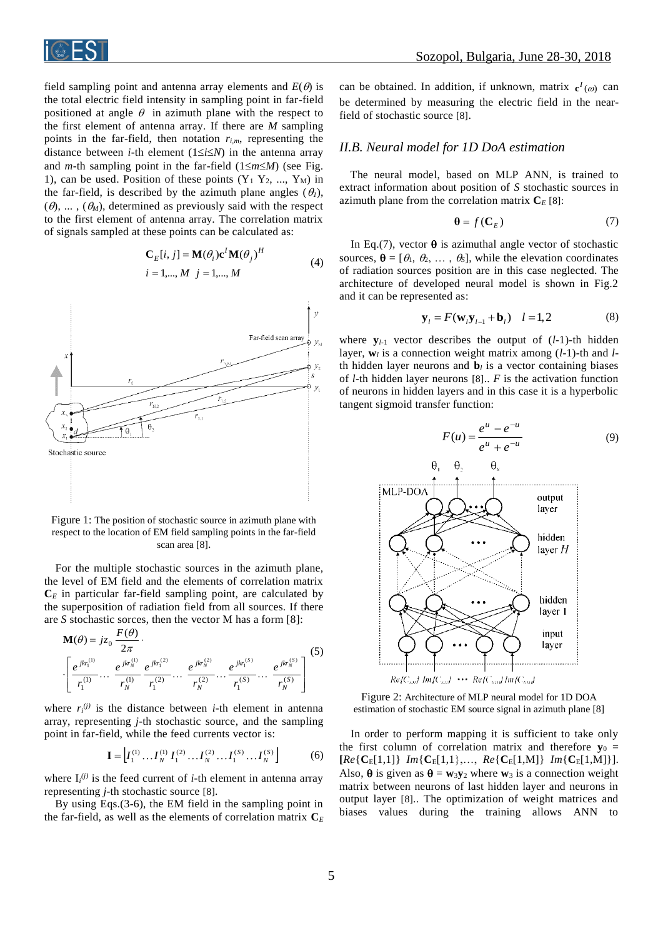

field sampling point and antenna array elements and  $E(\theta)$  is the total electric field intensity in sampling point in far-field positioned at angle  $\theta$  in azimuth plane with the respect to the first element of antenna array. If there are *M* sampling points in the far-field, then notation *ri,m*, representing the distance between *i*-th element  $(1 \le i \le N)$  in the antenna array and *m*-th sampling point in the far-field  $(1 \le m \le M)$  (see Fig. 1), can be used. Position of these points  $(Y_1 Y_2, ..., Y_M)$  in the far-field, is described by the azimuth plane angles  $(\theta_l)$ ,  $(\theta)$ , ... ,  $(\theta_M)$ , determined as previously said with the respect to the first element of antenna array. The correlation matrix of signals sampled at these points can be calculated as:

$$
\mathbf{C}_{E}[i, j] = \mathbf{M}(\theta_{i})\mathbf{c}^{I}\mathbf{M}(\theta_{j})^{H}
$$
  
\n $i = 1,..., M \quad j = 1,..., M$  (4)



Figure 1: The position of stochastic source in azimuth plane with respect to the location of EM field sampling points in the far-field scan area [8].

For the multiple stochastic sources in the azimuth plane, the level of EM field and the elements of correlation matrix  $C<sub>E</sub>$  in particular far-field sampling point, are calculated by the superposition of radiation field from all sources. If there are *S* stochastic sorces, then the vector M has a form [8]:

$$
\mathbf{M}(\theta) = jz_0 \frac{F(\theta)}{2\pi} \cdot \left[ \frac{e^{jkr_1^{(1)}}}{r_1^{(1)}} \cdots \frac{e^{jkr_N^{(2)}}}{r_N^{(1)}} \frac{e^{jkr_1^{(2)}}}{r_1^{(2)}} \cdots \frac{e^{jkr_N^{(2)}}}{r_N^{(2)}} \cdots \frac{e^{jkr_N^{(S)}}}{r_1^{(S)}} \cdots \frac{e^{jkr_N^{(S)}}}{r_N^{(S)}} \right] (5)
$$

where  $r_i^{(j)}$  is the distance between *i*-th element in antenna array, representing *j*-th stochastic source, and the sampling point in far-field, while the feed currents vector is:

$$
\mathbf{I} = \left[ I_1^{(1)} \dots I_N^{(1)} I_1^{(2)} \dots I_N^{(2)} \dots I_1^{(S)} \dots I_N^{(S)} \right] \tag{6}
$$

where  $I_i^{(j)}$  is the feed current of *i*-th element in antenna array representing *j*-th stochastic source [8].

By using Eqs.(3-6), the EM field in the sampling point in the far-field, as well as the elements of correlation matrix  $C_E$ 

can be obtained. In addition, if unknown, matrix  $c^I(\omega)$  can be determined by measuring the electric field in the nearfield of stochastic source [8].

### *II.B. Neural model for 1D DoA estimation*

The neural model, based on MLP ANN, is trained to extract information about position of *S* stochastic sources in azimuth plane from the correlation matrix  $C_F$  [8]:

$$
\mathbf{\theta} = f(\mathbf{C}_E) \tag{7}
$$

In Eq.(7), vector  $\theta$  is azimuthal angle vector of stochastic sources,  $\theta = [\theta_1, \theta_2, ..., \theta_S]$ , while the elevation coordinates of radiation sources position are in this case neglected. The architecture of developed neural model is shown in Fig.2 and it can be represented as:

$$
\mathbf{y}_{l} = F(\mathbf{w}_{l}\mathbf{y}_{l-1} + \mathbf{b}_{l}) \quad l = 1,2 \tag{8}
$$

where  $\mathbf{y}_{l-1}$  vector describes the output of  $(l-1)$ -th hidden layer, **w***<sup>l</sup>* is a connection weight matrix among (*l*-1)-th and *l*th hidden layer neurons and  $\mathbf{b}_l$  is a vector containing biases of *l*-th hidden layer neurons [8].. *F* is the activation function of neurons in hidden layers and in this case it is a hyperbolic tangent sigmoid transfer function:



Figure 2: Architecture of MLP neural model for 1D DOA estimation of stochastic EM source signal in azimuth plane [8]

In order to perform mapping it is sufficient to take only the first column of correlation matrix and therefore  $y_0$  =  $[Re\{C_E[1,1]\}$  *Im* $\{C_E[1,1],...,Re\{C_E[1,M]\}$  *Im* $\{C_E[1,M]\}$ . Also,  $\theta$  is given as  $\theta = w_3y_2$  where  $w_3$  is a connection weight matrix between neurons of last hidden layer and neurons in output layer [8].. The optimization of weight matrices and biases values during the training allows ANN to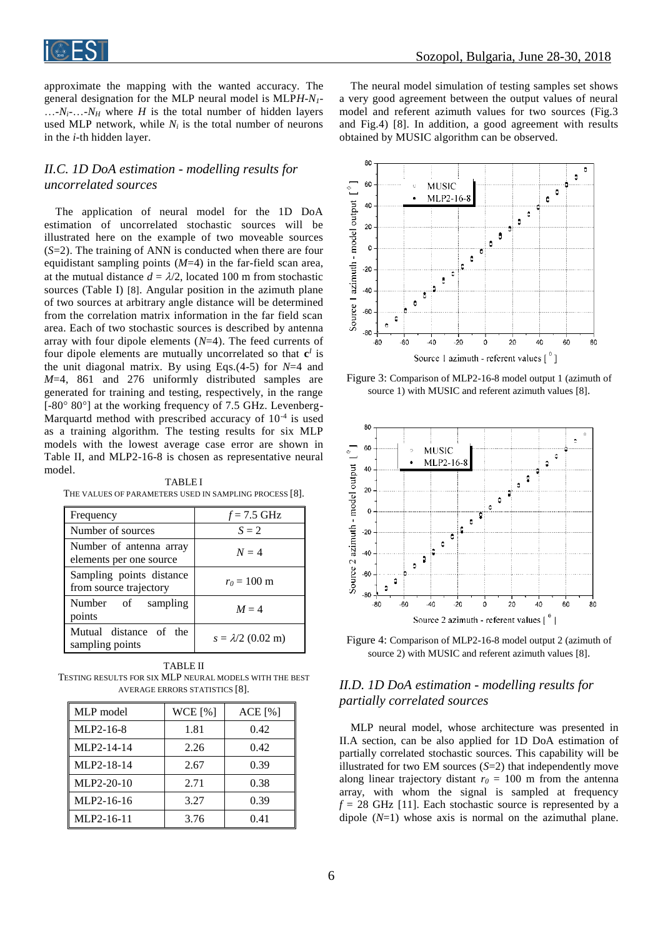

approximate the mapping with the wanted accuracy. The general designation for the MLP neural model is MLP*H*-*N1*-  $\ldots$ -*N*<sub>*i*</sub>- $\ldots$ -*N*<sub>H</sub> where *H* is the total number of hidden layers used MLP network, while  $N_i$  is the total number of neurons in the *i*-th hidden layer.

# *II.C. 1D DoA estimation - modelling results for uncorrelated sources*

The application of neural model for the 1D DoA estimation of uncorrelated stochastic sources will be illustrated here on the example of two moveable sources (*S*=2). The training of ANN is conducted when there are four equidistant sampling points (*M*=4) in the far-field scan area, at the mutual distance  $d = \lambda/2$ , located 100 m from stochastic sources (Table I) [8]. Angular position in the azimuth plane of two sources at arbitrary angle distance will be determined from the correlation matrix information in the far field scan area. Each of two stochastic sources is described by antenna array with four dipole elements (*N*=4). The feed currents of four dipole elements are mutually uncorrelated so that  $c^I$  is the unit diagonal matrix. By using Eqs.(4-5) for *N*=4 and *M*=4, 861 and 276 uniformly distributed samples are generated for training and testing, respectively, in the range  $[-80^{\circ} 80^{\circ}]$  at the working frequency of 7.5 GHz. Levenberg-Marquartd method with prescribed accuracy of  $10^{-4}$  is used as a training algorithm. The testing results for six MLP models with the lowest average case error are shown in Table II, and MLP2-16-8 is chosen as representative neural model.

TABLE I THE VALUES OF PARAMETERS USED IN SAMPLING PROCESS [8].

| Frequency                                          | $f = 7.5$ GHz            |
|----------------------------------------------------|--------------------------|
| Number of sources                                  | $S = 2$                  |
| Number of antenna array<br>elements per one source | $N=4$                    |
| Sampling points distance<br>from source trajectory | $r_0 = 100 \text{ m}$    |
| Number of sampling<br>points                       | $M = 4$                  |
| Mutual distance of the<br>sampling points          | $s = \lambda/2$ (0.02 m) |

TABLE II TESTING RESULTS FOR SIX MLP NEURAL MODELS WITH THE BEST AVERAGE ERRORS STATISTICS [8].

| MLP model    | WCE [%] | ACE [%] |
|--------------|---------|---------|
| MLP2-16-8    | 1.81    | 0.42    |
| MLP2-14-14   | 2.26    | 0.42    |
| MLP2-18-14   | 2.67    | 0.39    |
| $MLP2-20-10$ | 2.71    | 0.38    |
| MLP2-16-16   | 3.27    | 0.39    |
| MLP2-16-11   | 3.76    | 0.41    |

The neural model simulation of testing samples set shows a very good agreement between the output values of neural model and referent azimuth values for two sources (Fig.3 and Fig.4) [8]. In addition, a good agreement with results obtained by MUSIC algorithm can be observed.



Figure 3: Comparison of MLP2-16-8 model output 1 (azimuth of source 1) with MUSIC and referent azimuth values [8].



Figure 4: Comparison of MLP2-16-8 model output 2 (azimuth of source 2) with MUSIC and referent azimuth values [8].

## *II.D. 1D DoA estimation - modelling results for partially correlated sources*

MLP neural model, whose architecture was presented in II.A section, can be also applied for 1D DoA estimation of partially correlated stochastic sources. This capability will be illustrated for two EM sources (*S*=2) that independently move along linear trajectory distant  $r_0 = 100$  m from the antenna array, with whom the signal is sampled at frequency  $f = 28$  GHz [11]. Each stochastic source is represented by a dipole (*N*=1) whose axis is normal on the azimuthal plane.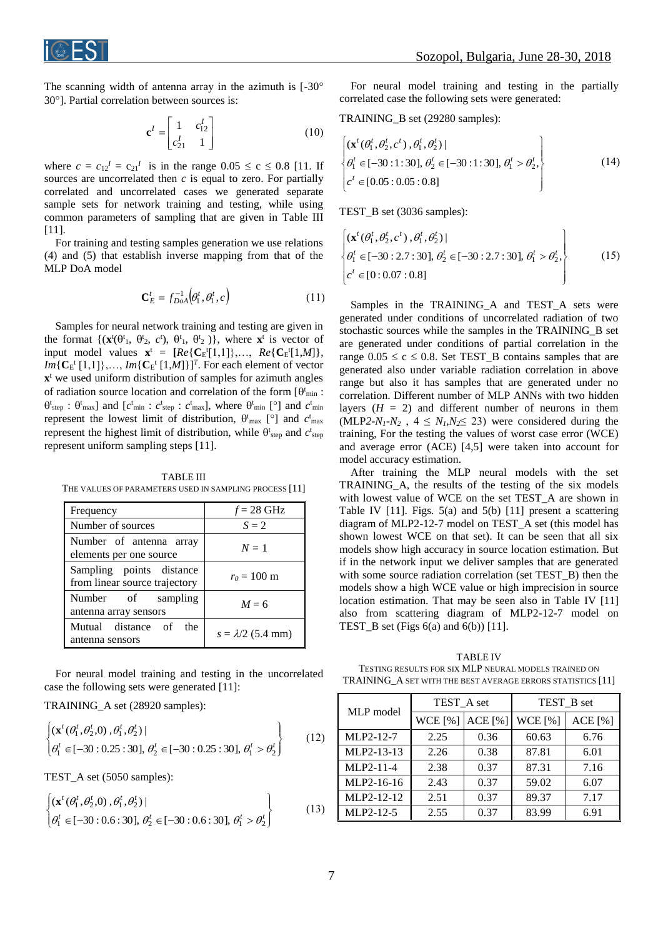

The scanning width of antenna array in the azimuth is  $[-30^\circ]$  $30^\circ$ ]. Partial correlation between sources is:

$$
\mathbf{c}^{I} = \begin{bmatrix} 1 & c_{12}^{I} \\ c_{21}^{I} & 1 \end{bmatrix}
$$
 (10)

where  $c = c_{12}^I = c_{21}^I$  is in the range  $0.05 \le c \le 0.8$  [11. If sources are uncorrelated then *c* is equal to zero. For partially correlated and uncorrelated cases we generated separate sample sets for network training and testing, while using common parameters of sampling that are given in Table III [11].

For training and testing samples generation we use relations (4) and (5) that establish inverse mapping from that of the MLP DoA model

$$
\mathbf{C}_E^t = f_{DoA}^{-1}(\theta_1^t, \theta_1^t, c)
$$
 (11)

Samples for neural network training and testing are given in the format  $\{(\mathbf{x}^t(\theta^t), \theta^t, c^t), \theta^t, \theta^t, \theta^t)\}$ , where  $\mathbf{x}^t$  is vector of input model values  $\mathbf{x}^t = [Re\{C_E^t[1,1]\},..., Re\{C_E^t[1,M]\},$  $Im\{C_E^t[1,1]\},...,Im\{C_E^t[1,M]\}\}^T$ . For each element of vector **x**<sup>t</sup> we used uniform distribution of samples for azimuth angles of radiation source location and correlation of the form  $[\theta^t_{min}]$ :  $\theta_{\text{step}}^t : \theta_{\text{max}}^t$  and  $[c_{\text{min}}^t : c_{\text{step}}^t : c_{\text{max}}^t]$ , where  $\theta_{\text{min}}^t$  [°] and  $c_{\text{min}}^t$ represent the lowest limit of distribution,  $\theta_{\text{max}}^{\text{t}}$  [°] and  $c_{\text{max}}^{\text{t}}$ represent the highest limit of distribution, while  $\theta_{\text{step}}^t$  and  $c_{\text{step}}^t$ represent uniform sampling steps [11].

TABLE III THE VALUES OF PARAMETERS USED IN SAMPLING PROCESS [11]

| Frequency                                                 | $f = 28 \text{ GHz}$     |
|-----------------------------------------------------------|--------------------------|
| Number of sources                                         | $S = 2$                  |
| Number of antenna array<br>elements per one source        | $N=1$                    |
| Sampling points distance<br>from linear source trajectory | $r_0 = 100 \text{ m}$    |
| Number of sampling<br>antenna array sensors               | $M = 6$                  |
| Mutual distance of<br>the<br>antenna sensors              | $s = \lambda/2$ (5.4 mm) |

For neural model training and testing in the uncorrelated case the following sets were generated [11]:

TRAINING\_A set (28920 samples):

$$
\begin{cases}\n(\mathbf{x}^t (\theta_1^t, \theta_2^t, 0), \theta_1^t, \theta_2^t) | \\
\theta_1^t \in [-30: 0.25: 30], \theta_2^t \in [-30: 0.25: 30], \theta_1^t > \theta_2^t\n\end{cases}
$$
\n(12)

TEST\_A set (5050 samples):

$$
\begin{cases}\n(\mathbf{x}^{t}(\theta_{1}^{t}, \theta_{2}^{t}, 0), \theta_{1}^{t}, \theta_{2}^{t}) | \\
\theta_{1}^{t} \in [-30:0.6:30], \theta_{2}^{t} \in [-30:0.6:30], \theta_{1}^{t} > \theta_{2}^{t}\n\end{cases}
$$
\n(13)

For neural model training and testing in the partially correlated case the following sets were generated:

TRAINING\_B set (29280 samples):

$$
\begin{cases}\n(\mathbf{x}^{t}(\theta_{1}^{t}, \theta_{2}^{t}, c^{t}), \theta_{1}^{t}, \theta_{2}^{t})| \\
\theta_{1}^{t} \in [-30:1:30], \theta_{2}^{t} \in [-30:1:30], \theta_{1}^{t} > \theta_{2}^{t}, \\
c^{t} \in [0.05:0.05:0.8]\n\end{cases}
$$
\n(14)

TEST\_B set (3036 samples):

$$
\begin{cases}\n(\mathbf{x}^{t}(\theta_{1}^{t}, \theta_{2}^{t}, c^{t}), \theta_{1}^{t}, \theta_{2}^{t}) | \\
\theta_{1}^{t} \in [-30:2.7:30], \theta_{2}^{t} \in [-30:2.7:30], \theta_{1}^{t} > \theta_{2}^{t}, \\
c^{t} \in [0:0.07:0.8]\n\end{cases}
$$
\n(15)

Samples in the TRAINING\_A and TEST\_A sets were generated under conditions of uncorrelated radiation of two stochastic sources while the samples in the TRAINING\_B set are generated under conditions of partial correlation in the range  $0.05 \le c \le 0.8$ . Set TEST B contains samples that are generated also under variable radiation correlation in above range but also it has samples that are generated under no correlation. Different number of MLP ANNs with two hidden layers  $(H = 2)$  and different number of neurons in them (MLP2- $N_1$ - $N_2$ ,  $4 \leq N_1$ , $N_2 \leq 23$ ) were considered during the training, For the testing the values of worst case error (WCE) and average error (ACE) [4,5] were taken into account for model accuracy estimation.

After training the MLP neural models with the set TRAINING\_A, the results of the testing of the six models with lowest value of WCE on the set TEST\_A are shown in Table IV [11]. Figs. 5(a) and 5(b) [11] present a scattering diagram of MLP2-12-7 model on TEST\_A set (this model has shown lowest WCE on that set). It can be seen that all six models show high accuracy in source location estimation. But if in the network input we deliver samples that are generated with some source radiation correlation (set TEST\_B) then the models show a high WCE value or high imprecision in source location estimation. That may be seen also in Table IV [11] also from scattering diagram of MLP2-12-7 model on TEST\_B set (Figs 6(a) and 6(b)) [11].

TABLE IV TESTING RESULTS FOR SIX MLP NEURAL MODELS TRAINED ON TRAINING\_A SET WITH THE BEST AVERAGE ERRORS STATISTICS [11]

| MLP model   | TEST A set |         | TEST B set |         |
|-------------|------------|---------|------------|---------|
|             | WCE $[%]$  | ACE [%] | WCE $[%]$  | ACE [%] |
| MLP2-12-7   | 2.25       | 0.36    | 60.63      | 6.76    |
| MLP2-13-13  | 2.26       | 0.38    | 87.81      | 6.01    |
| MLP2-11-4   | 2.38       | 0.37    | 87.31      | 7.16    |
| MLP2-16-16  | 2.43       | 0.37    | 59.02      | 6.07    |
| MLP2-12-12  | 2.51       | 0.37    | 89.37      | 7.17    |
| $MLP2-12-5$ | 2.55       | 0.37    | 83.99      | 6.91    |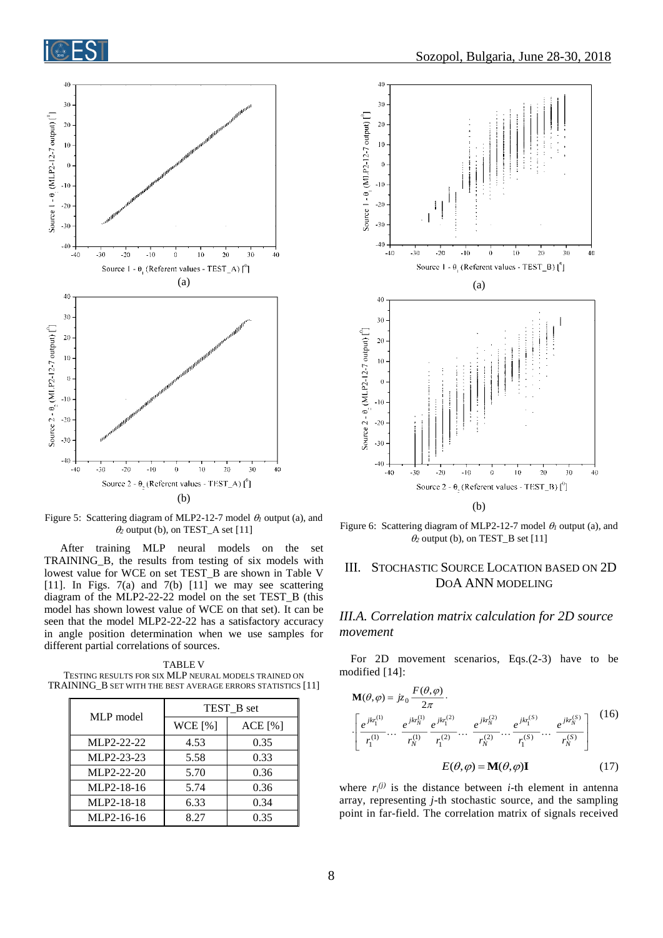

Figure 5: Scattering diagram of MLP2-12-7 model  $\theta_l$  output (a), and  $\theta_2$  output (b), on TEST\_A set [11]

After training MLP neural models on the set TRAINING\_B, the results from testing of six models with lowest value for WCE on set TEST\_B are shown in Table V [11]. In Figs.  $7(a)$  and  $7(b)$  [11] we may see scattering diagram of the MLP2-22-22 model on the set TEST\_B (this model has shown lowest value of WCE on that set). It can be seen that the model MLP2-22-22 has a satisfactory accuracy in angle position determination when we use samples for different partial correlations of sources.

TABLE V TESTING RESULTS FOR SIX MLP NEURAL MODELS TRAINED ON TRAINING\_B SET WITH THE BEST AVERAGE ERRORS STATISTICS [11]

| MLP model  | TEST B set |         |
|------------|------------|---------|
|            | WCE [%]    | ACE [%] |
| MLP2-22-22 | 4.53       | 0.35    |
| MLP2-23-23 | 5.58       | 0.33    |
| MLP2-22-20 | 5.70       | 0.36    |
| MLP2-18-16 | 5.74       | 0.36    |
| MLP2-18-18 | 6.33       | 0.34    |
| MLP2-16-16 | 8.27       | 0.35    |



(b)

Figure 6: Scattering diagram of MLP2-12-7 model  $\theta_l$  output (a), and  $\theta_2$  output (b), on TEST\_B set [11]

## III. STOCHASTIC SOURCE LOCATION BASED ON 2D DOA ANN MODELING

## *III.A. Correlation matrix calculation for 2D source movement*

For 2D movement scenarios, Eqs.(2-3) have to be modified [14]:

$$
\mathbf{M}(\theta,\varphi) = jz_0 \frac{F(\theta,\varphi)}{2\pi}.
$$
\n
$$
\left[ \frac{e^{jkr_1^{(1)}}}{r_1^{(1)}} \cdots \frac{e^{jkr_N^{(1)}}}{r_N^{(1)}} \frac{e^{jkr_1^{(2)}}}{r_1^{(2)}} \cdots \frac{e^{jkr_N^{(2)}}}{r_N^{(2)}} \cdots \frac{e^{jkr_1^{(S)}}}{r_1^{(S)}} \cdots \frac{e^{jkr_N^{(S)}}}{r_N^{(S)}} \right] (16)
$$
\n
$$
E(\theta,\varphi) = \mathbf{M}(\theta,\varphi) \mathbf{I} \qquad (17)
$$

where  $r_i^{(j)}$  is the distance between *i*-th element in antenna array, representing *j*-th stochastic source, and the sampling point in far-field. The correlation matrix of signals received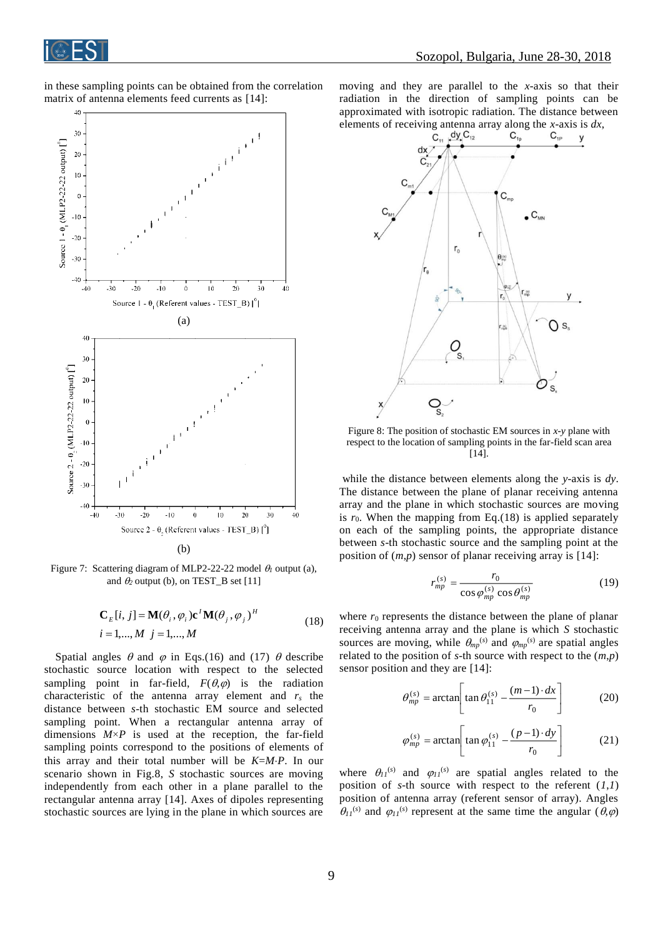

in these sampling points can be obtained from the correlation matrix of antenna elements feed currents as [14]:



Figure 7: Scattering diagram of MLP2-22-22 model  $\theta_l$  output (a), and  $\theta_2$  output (b), on TEST\_B set [11]

$$
\mathbf{C}_{E}[i, j] = \mathbf{M}(\theta_i, \varphi_i) \mathbf{c}^T \mathbf{M}(\theta_j, \varphi_j)^H
$$
  
\n
$$
i = 1,..., M \quad j = 1,..., M
$$
 (18)

Spatial angles  $\theta$  and  $\varphi$  in Eqs.(16) and (17)  $\theta$  describe stochastic source location with respect to the selected sampling point in far-field,  $F(\theta,\varphi)$  is the radiation characteristic of the antenna array element and *r<sup>s</sup>* the distance between *s*-th stochastic EM source and selected sampling point. When a rectangular antenna array of dimensions  $M \times P$  is used at the reception, the far-field sampling points correspond to the positions of elements of this array and their total number will be *K*=*MP*. In our scenario shown in Fig.8, *S* stochastic sources are moving independently from each other in a plane parallel to the rectangular antenna array [14]. Axes of dipoles representing stochastic sources are lying in the plane in which sources are

moving and they are parallel to the *x*-axis so that their radiation in the direction of sampling points can be approximated with isotropic radiation. The distance between



Figure 8: The position of stochastic EM sources in *x*-*y* plane with respect to the location of sampling points in the far-field scan area [14].

while the distance between elements along the *y*-axis is *dy*. The distance between the plane of planar receiving antenna array and the plane in which stochastic sources are moving is  $r_0$ . When the mapping from Eq.(18) is applied separately on each of the sampling points, the appropriate distance between *s*-th stochastic source and the sampling point at the position of (*m*,*p*) sensor of planar receiving array is [14]:

$$
r_{mp}^{(s)} = \frac{r_0}{\cos \varphi_{mp}^{(s)} \cos \theta_{mp}^{(s)}}
$$
(19)

where  $r_0$  represents the distance between the plane of planar receiving antenna array and the plane is which *S* stochastic sources are moving, while  $\theta_{mp}^{(s)}$  and  $\varphi_{mp}^{(s)}$  are spatial angles related to the position of *s*-th source with respect to the (*m*,*p*) sensor position and they are [14]:

$$
\theta_{mp}^{(s)} = \arctan\left[\tan\theta_{11}^{(s)} - \frac{(m-1)\cdot dx}{r_0}\right]
$$
 (20)

$$
\varphi_{mp}^{(s)} = \arctan\left[\tan\varphi_{11}^{(s)} - \frac{(p-1)\cdot dy}{r_0}\right]
$$
 (21)

where  $\theta_{II}^{(s)}$  and  $\varphi_{II}^{(s)}$  are spatial angles related to the position of *s*-th source with respect to the referent  $(1,1)$ position of antenna array (referent sensor of array). Angles  $\theta_{II}^{(s)}$  and  $\varphi_{II}^{(s)}$  represent at the same time the angular  $(\theta,\varphi)$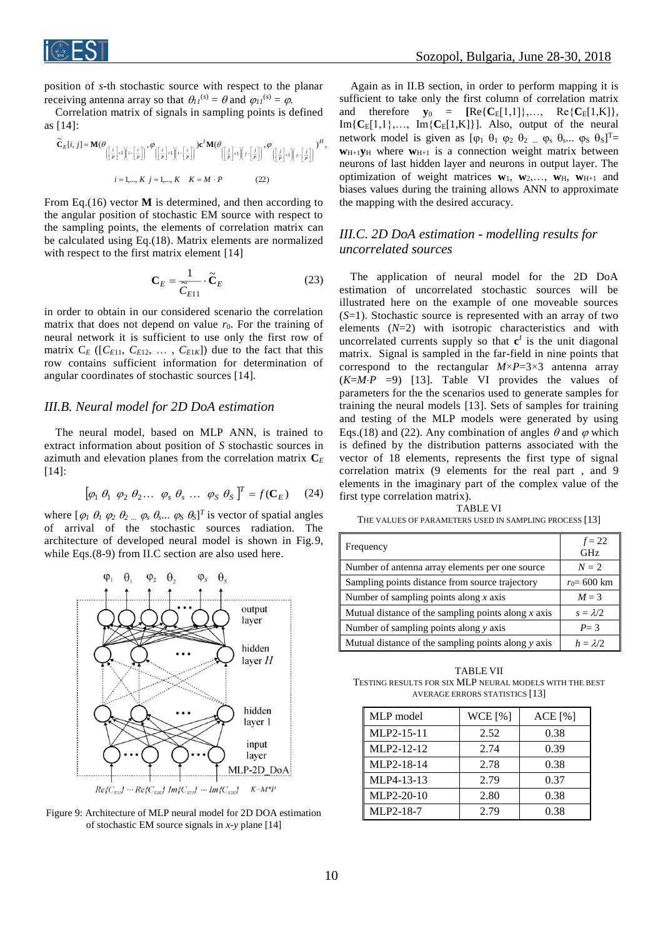

position of *s*-th stochastic source with respect to the planar receiving antenna array so that  $\theta_{II}^{(s)} = \theta$  and  $\varphi_{II}^{(s)} = \varphi$ .

Correlation matrix of signals in sampling points is defined as [14]:

$$
\widetilde{\mathbf{C}}_E[i, j] = \mathbf{M}(\theta \begin{bmatrix} i \\ \frac{j}{p} \end{bmatrix} + i) \begin{bmatrix} i - \frac{j}{p} \end{bmatrix}, \theta \begin{bmatrix} i \\ \frac{j}{p} \end{bmatrix} + i) \begin{bmatrix} i - \frac{j}{p} \end{bmatrix} \mathbf{C}^T \mathbf{M}(\theta \begin{bmatrix} j \\ \frac{j}{p} \end{bmatrix} + i) \begin{bmatrix} j - \frac{j}{p} \end{bmatrix}, \theta \begin{bmatrix} j \\ \frac{j}{p} \end{bmatrix} + i) \begin{bmatrix} j - \frac{j}{p} \end{bmatrix} \mathbf{C}^T \mathbf{M}(\theta \begin{bmatrix} j \\ \frac{j}{p} \end{bmatrix} + i) \begin{bmatrix} j - \frac{j}{p} \end{bmatrix}, \theta \begin{bmatrix} j - \frac{j}{p} \end{bmatrix} \mathbf{C}^T \mathbf{M}(\theta \begin{bmatrix} j \\ \frac{j}{p} \end{bmatrix} + i) \begin{bmatrix} j - \frac{j}{p} \end{bmatrix} \mathbf{C}^T \mathbf{M}(\theta \begin{bmatrix} j \\ \frac{j}{p} \end{bmatrix} + i) \begin{bmatrix} j - \frac{j}{p} \end{bmatrix} \mathbf{C}^T \mathbf{M}(\theta \begin{bmatrix} j \\ \frac{j}{p} \end{bmatrix} + i) \begin{bmatrix} j - \frac{j}{p} \end{bmatrix} \mathbf{C}^T \mathbf{M}(\theta \begin{bmatrix} j \\ \frac{j}{p} \end{bmatrix} + i) \begin{bmatrix} j - \frac{j}{p} \end{bmatrix} \mathbf{C}^T \mathbf{M}(\theta \begin{bmatrix} j \\ \frac{j}{p} \end{bmatrix} + i) \begin{bmatrix} j - \frac{j}{p} \end{bmatrix} \mathbf{C}^T \mathbf{M}(\theta \begin{bmatrix} j \\ \frac{j}{p} \end{bmatrix} + i) \begin{bmatrix} j - \frac{j}{p} \end{bmatrix} \mathbf{C}^T \mathbf{M}(\theta \begin{bmatrix} j \\ \frac{j}{p} \end{bmatrix} + i) \begin{bmatrix} j - \frac{j}{p} \end{bmatrix} \mathbf{C}^T \mathbf{M}(\theta \begin{bmatrix} j \\ \frac{j}{p} \end{bmatrix} + i) \begin{bmatrix} j - \frac
$$

From Eq.(16) vector **M** is determined, and then according to the angular position of stochastic EM source with respect to the sampling points, the elements of correlation matrix can be calculated using Eq.(18). Matrix elements are normalized with respect to the first matrix element [14]

$$
\mathbf{C}_E = \frac{1}{\tilde{C}_{E11}} \cdot \tilde{\mathbf{C}}_E
$$
 (23)

in order to obtain in our considered scenario the correlation matrix that does not depend on value  $r_0$ . For the training of neural network it is sufficient to use only the first row of matrix  $C_E$  ( $[C_{E11}, C_{E12}, \ldots, C_{E1K}]$ ) due to the fact that this row contains sufficient information for determination of angular coordinates of stochastic sources [14].

## *III.B. Neural model for 2D DoA estimation*

The neural model, based on MLP ANN, is trained to extract information about position of *S* stochastic sources in azimuth and elevation planes from the correlation matrix **C***<sup>E</sup>* [14]:

$$
\left[\varphi_1 \ \theta_1 \ \varphi_2 \ \theta_2 \dots \ \varphi_s \ \theta_s \ \dots \ \varphi_S \ \theta_S \right]^T = f(\mathbf{C}_E) \tag{24}
$$

where  $[\varphi_1 \theta_1 \varphi_2 \theta_2 \dots \varphi_s \theta_s \dots \varphi_s \theta_s]^T$  is vector of spatial angles of arrival of the stochastic sources radiation. The architecture of developed neural model is shown in Fig.9, while Eqs.(8-9) from II.C section are also used here.



Figure 9: Architecture of MLP neural model for 2D DOA estimation of stochastic EM source signals in *x*-*y* plane [14]

Again as in II.B section, in order to perform mapping it is sufficient to take only the first column of correlation matrix and therefore  $y_0 = [\text{Re}\{C_E[1,1]\},\ldots, \text{Re}\{C_E[1,K]\},\ldots]$  $Im{C_E[1,1)},..., Im{C_E[1,K]}$ . Also, output of the neural network model is given as  $[\varphi_1 \ \theta_1 \ \varphi_2 \ \theta_2 \dots \ \varphi_s \ \theta_s \dots \ \varphi_s \ \theta_s]^T$  $w_{H+1}y_H$  where  $w_{H+1}$  is a connection weight matrix between neurons of last hidden layer and neurons in output layer. The optimization of weight matrices  $w_1$ ,  $w_2$ ,...,  $w_H$ ,  $w_{H+1}$  and biases values during the training allows ANN to approximate the mapping with the desired accuracy.

## *III.C. 2D DoA estimation - modelling results for uncorrelated sources*

The application of neural model for the 2D DoA estimation of uncorrelated stochastic sources will be illustrated here on the example of one moveable sources (*S*=1). Stochastic source is represented with an array of two elements (*N*=2) with isotropic characteristics and with uncorrelated currents supply so that  $c^I$  is the unit diagonal matrix. Signal is sampled in the far-field in nine points that correspond to the rectangular  $M \times P = 3 \times 3$  antenna array  $(K=M \cdot P = 9)$  [13]. Table VI provides the values of parameters for the the scenarios used to generate samples for training the neural models [13]. Sets of samples for training and testing of the MLP models were generated by using Eqs.(18) and (22). Any combination of angles  $\theta$  and  $\varphi$  which is defined by the distribution patterns associated with the vector of 18 elements, represents the first type of signal correlation matrix (9 elements for the real part , and 9 elements in the imaginary part of the complex value of the first type correlation matrix).

TABLE VI THE VALUES OF PARAMETERS USED IN SAMPLING PROCESS [13]

| Frequency                                             | $f = 22$<br><b>GHz</b> |
|-------------------------------------------------------|------------------------|
| Number of antenna array elements per one source       | $N=2$                  |
| Sampling points distance from source trajectory       | $r_0 = 600$ km         |
| Number of sampling points along $x$ axis              | $M = 3$                |
| Mutual distance of the sampling points along $x$ axis | $s = \lambda/2$        |
| Number of sampling points along $y$ axis              | $P = 3$                |
| Mutual distance of the sampling points along y axis   | $h = \lambda/2$        |

TABLE VII TESTING RESULTS FOR SIX MLP NEURAL MODELS WITH THE BEST AVERAGE ERRORS STATISTICS [13]

| MLP model  | WCE [%] | ACE [%] |
|------------|---------|---------|
| MLP2-15-11 | 2.52    | 0.38    |
| MLP2-12-12 | 2.74    | 0.39    |
| MLP2-18-14 | 2.78    | 0.38    |
| MLP4-13-13 | 2.79    | 0.37    |
| MLP2-20-10 | 2.80    | 0.38    |
| MLP2-18-7  | 2.79    | 0.38    |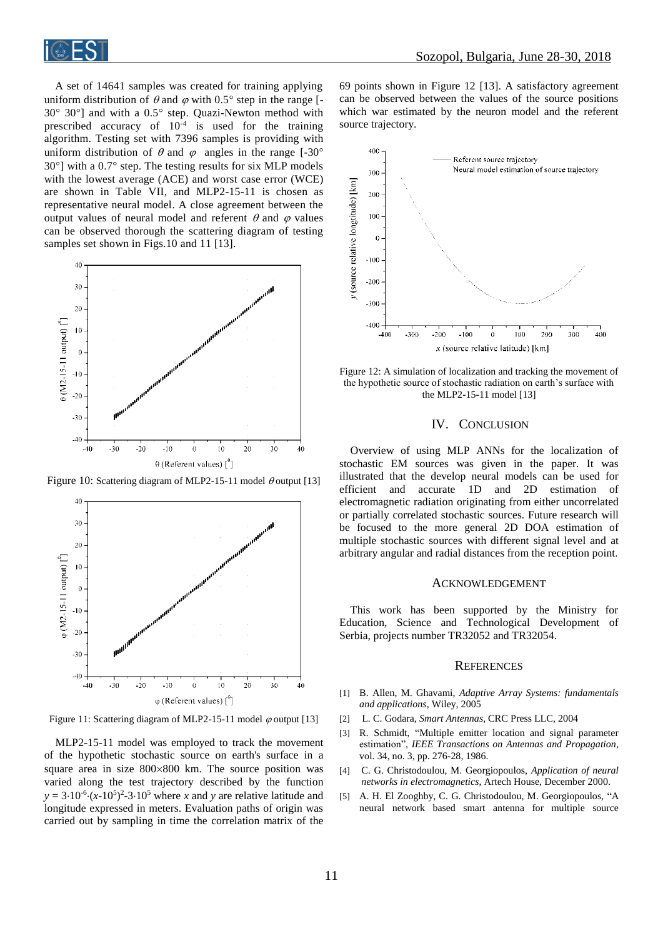

A set of 14641 samples was created for training applying uniform distribution of  $\theta$  and  $\varphi$  with 0.5° step in the range [- $30^\circ$   $30^\circ$ ] and with a  $0.5^\circ$  step. Quazi-Newton method with prescribed accuracy of  $10^{-4}$  is used for the training algorithm. Testing set with 7396 samples is providing with uniform distribution of  $\theta$  and  $\varphi$  angles in the range [-30°  $30^{\circ}$ ] with a 0.7 $^{\circ}$  step. The testing results for six MLP models with the lowest average (ACE) and worst case error (WCE) are shown in Table VII, and MLP2-15-11 is chosen as representative neural model. A close agreement between the output values of neural model and referent  $\theta$  and  $\varphi$  values can be observed thorough the scattering diagram of testing samples set shown in Figs.10 and 11 [13].



Figure 10: Scattering diagram of MLP2-15-11 model  $\theta$  output [13]



Figure 11: Scattering diagram of MLP2-15-11 model  $\varphi$  output [13]

MLP2-15-11 model was employed to track the movement of the hypothetic stochastic source on earth's surface in a square area in size  $800 \times 800$  km. The source position was varied along the test trajectory described by the function  $y = 3.10^{-6} \cdot (x-10^5)^2 - 3.10^5$  where *x* and *y* are relative latitude and longitude expressed in meters. Evaluation paths of origin was carried out by sampling in time the correlation matrix of the

69 points shown in Figure 12 [13]. A satisfactory agreement can be observed between the values of the source positions which war estimated by the neuron model and the referent source trajectory.



Figure 12: A simulation of localization and tracking the movement of the hypothetic source of stochastic radiation on earth's surface with the MLP2-15-11 model [13]

### IV. CONCLUSION

Overview of using MLP ANNs for the localization of stochastic EM sources was given in the paper. It was illustrated that the develop neural models can be used for efficient and accurate 1D and 2D estimation of electromagnetic radiation originating from either uncorrelated or partially correlated stochastic sources. Future research will be focused to the more general 2D DOA estimation of multiple stochastic sources with different signal level and at arbitrary angular and radial distances from the reception point.

#### ACKNOWLEDGEMENT

This work has been supported by the Ministry for Education, Science and Technological Development of Serbia, projects number TR32052 and TR32054.

#### **REFERENCES**

- [1] B. Allen, M. Ghavami, *Adaptive Array Systems: fundamentals and applications*, Wiley, 2005
- [2] L. C. Godara, *Smart Antennas*, CRC Press LLC, 2004
- [3] R. Schmidt, "Multiple emitter location and signal parameter estimation", *IEEE Transactions on Antennas and Propagation*, vol. 34, no. 3, pp. 276-28, 1986.
- [4] C. G. Christodoulou, M. Georgiopoulos, *Application of neural networks in electromagnetics*, Artech House, December 2000.
- [5] A. H. El Zooghby, C. G. Christodoulou, M. Georgiopoulos, "A neural network based smart antenna for multiple source